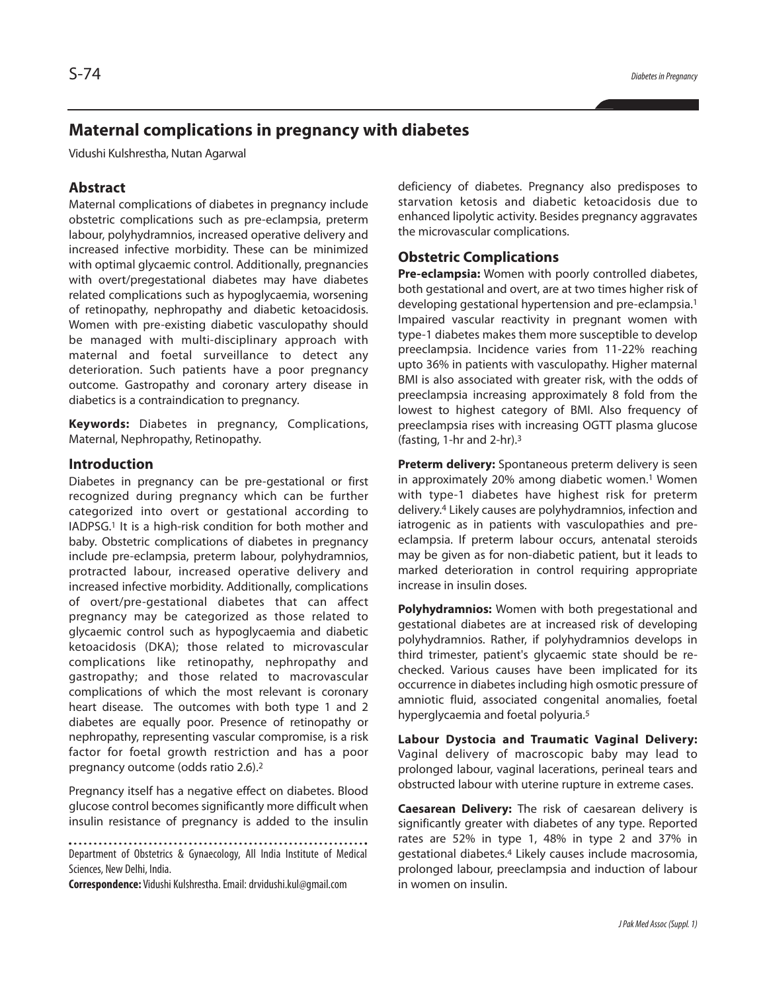# **Maternal complications in pregnancy with diabetes**

Vidushi Kulshrestha, Nutan Agarwal

## **Abstract**

Maternal complications of diabetes in pregnancy include obstetric complications such as pre-eclampsia, preterm labour, polyhydramnios, increased operative delivery and increased infective morbidity. These can be minimized with optimal glycaemic control. Additionally, pregnancies with overt/pregestational diabetes may have diabetes related complications such as hypoglycaemia, worsening of retinopathy, nephropathy and diabetic ketoacidosis. Women with pre-existing diabetic vasculopathy should be managed with multi-disciplinary approach with maternal and foetal surveillance to detect any deterioration. Such patients have a poor pregnancy outcome. Gastropathy and coronary artery disease in diabetics is a contraindication to pregnancy.

**Keywords:** Diabetes in pregnancy, Complications, Maternal, Nephropathy, Retinopathy.

## **Introduction**

Diabetes in pregnancy can be pre-gestational or first recognized during pregnancy which can be further categorized into overt or gestational according to IADPSG. <sup>1</sup> It is a high-risk condition for both mother and baby. Obstetric complications of diabetes in pregnancy include pre-eclampsia, preterm labour, polyhydramnios, protracted labour, increased operative delivery and increased infective morbidity. Additionally, complications of overt/pre-gestational diabetes that can affect pregnancy may be categorized as those related to glycaemic control such as hypoglycaemia and diabetic ketoacidosis (DKA); those related to microvascular complications like retinopathy, nephropathy and gastropathy; and those related to macrovascular complications of which the most relevant is coronary heart disease. The outcomes with both type 1 and 2 diabetes are equally poor. Presence of retinopathy or nephropathy, representing vascular compromise, is a risk factor for foetal growth restriction and has a poor pregnancy outcome (odds ratio 2.6). 2

Pregnancy itself has a negative effect on diabetes. Blood glucose control becomes significantly more difficult when insulin resistance of pregnancy is added to the insulin

Department of Obstetrics & Gynaecology, All India Institute of Medical

Sciences, New Delhi, India.

**Correspondence:** Vidushi Kulshrestha.Email:drvidushi.kul@gmail.com

deficiency of diabetes. Pregnancy also predisposes to starvation ketosis and diabetic ketoacidosis due to enhanced lipolytic activity. Besides pregnancy aggravates the microvascular complications.

### **Obstetric Complications**

**Pre-eclampsia:** Women with poorly controlled diabetes, both gestational and overt, are at two times higher risk of developing gestational hypertension and pre-eclampsia. 1 Impaired vascular reactivity in pregnant women with type-1 diabetes makes them more susceptible to develop preeclampsia. Incidence varies from 11-22% reaching upto 36% in patients with vasculopathy. Higher maternal BMI is also associated with greater risk, with the odds of preeclampsia increasing approximately 8 fold from the lowest to highest category of BMI. Also frequency of preeclampsia rises with increasing OGTT plasma glucose (fasting, 1-hr and 2-hr). 3

**Preterm delivery:** Spontaneous preterm delivery is seen in approximately 20% among diabetic women. <sup>1</sup> Women with type-1 diabetes have highest risk for preterm delivery. <sup>4</sup> Likely causes are polyhydramnios, infection and iatrogenic as in patients with vasculopathies and preeclampsia. If preterm labour occurs, antenatal steroids may be given as for non-diabetic patient, but it leads to marked deterioration in control requiring appropriate increase in insulin doses.

**Polyhydramnios:** Women with both pregestational and gestational diabetes are at increased risk of developing polyhydramnios. Rather, if polyhydramnios develops in third trimester, patient's glycaemic state should be rechecked. Various causes have been implicated for its occurrence in diabetes including high osmotic pressure of amniotic fluid, associated congenital anomalies, foetal hyperglycaemia and foetal polyuria. 5

**Labour Dystocia and Traumatic Vaginal Delivery:** Vaginal delivery of macroscopic baby may lead to prolonged labour, vaginal lacerations, perineal tears and obstructed labour with uterine rupture in extreme cases.

**Caesarean Delivery:** The risk of caesarean delivery is significantly greater with diabetes of any type. Reported rates are 52% in type 1, 48% in type 2 and 37% in gestational diabetes. <sup>4</sup> Likely causes include macrosomia, prolonged labour, preeclampsia and induction of labour in women on insulin.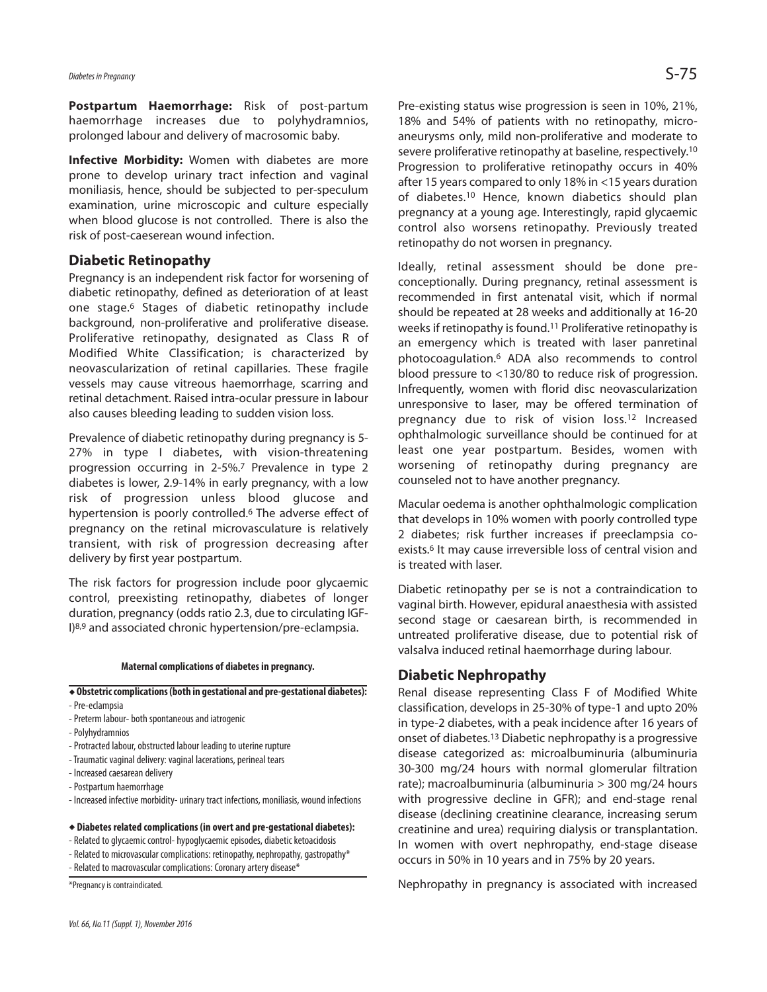# *Diabetes inPregnancy* S-75

**Postpartum Haemorrhage:** Risk of post-partum haemorrhage increases due to polyhydramnios, prolonged labour and delivery of macrosomic baby.

**Infective Morbidity:** Women with diabetes are more prone to develop urinary tract infection and vaginal moniliasis, hence, should be subjected to per-speculum examination, urine microscopic and culture especially when blood glucose is not controlled. There is also the risk of post-caeserean wound infection.

## **Diabetic Retinopathy**

Pregnancy is an independent risk factor for worsening of diabetic retinopathy, defined as deterioration of at least one stage.<sup>6</sup> Stages of diabetic retinopathy include background, non-proliferative and proliferative disease. Proliferative retinopathy, designated as Class R of Modified White Classification; is characterized by neovascularization of retinal capillaries. These fragile vessels may cause vitreous haemorrhage, scarring and retinal detachment. Raised intra-ocular pressure in labour also causes bleeding leading to sudden vision loss.

Prevalence of diabetic retinopathy during pregnancy is 5- 27% in type I diabetes, with vision-threatening progression occurring in 2-5%. <sup>7</sup> Prevalence in type 2 diabetes is lower, 2.9-14% in early pregnancy, with a low risk of progression unless blood glucose and hypertension is poorly controlled. <sup>6</sup> The adverse effect of pregnancy on the retinal microvasculature is relatively transient, with risk of progression decreasing after delivery by first year postpartum.

The risk factors for progression include poor glycaemic control, preexisting retinopathy, diabetes of longer duration, pregnancy (odds ratio 2.3, due to circulating IGF-I)8,9 and associated chronic hypertension/pre-eclampsia.

#### **Maternal complications of diabetes in pregnancy.**

#### **Obstetriccomplications(both in gestational and pre-gestational diabetes):**

- -Pre-eclampsia
- Preterm labour- both spontaneous and iatrogenic
- -Polyhydramnios
- Protracted labour, obstructed labour leading to uterine rupture
- Traumatic vaginal delivery: vaginal lacerations, perineal tears
- Increased caesarean delivery
- -Postpartum haemorrhage
- Increased infective morbidity- urinary tract infections, moniliasis, wound infections

#### **Diabetes related complications (in overt and pre-gestational diabetes):**

- Related to glycaemic control- hypoglycaemic episodes, diabetic ketoacidosis
- Related to microvascular complications: retinopathy, nephropathy, gastropathy\*
- Related to macrovascular complications: Coronary artery disease\*

\*Pregnancy is contraindicated.

Pre-existing status wise progression is seen in 10%, 21%, 18% and 54% of patients with no retinopathy, microaneurysms only, mild non-proliferative and moderate to severe proliferative retinopathy at baseline, respectively.<sup>10</sup> Progression to proliferative retinopathy occurs in 40% after 15 years compared to only 18% in <15 years duration of diabetes. <sup>10</sup> Hence, known diabetics should plan pregnancy at a young age. Interestingly, rapid glycaemic control also worsens retinopathy. Previously treated retinopathy do not worsen in pregnancy.

Ideally, retinal assessment should be done preconceptionally. During pregnancy, retinal assessment is recommended in first antenatal visit, which if normal should be repeated at 28 weeks and additionally at 16-20 weeks if retinopathy is found. <sup>11</sup> Proliferative retinopathy is an emergency which is treated with laser panretinal photocoagulation. <sup>6</sup> ADA also recommends to control blood pressure to <130/80 to reduce risk of progression. Infrequently, women with florid disc neovascularization unresponsive to laser, may be offered termination of pregnancy due to risk of vision loss. <sup>12</sup> Increased ophthalmologic surveillance should be continued for at least one year postpartum. Besides, women with worsening of retinopathy during pregnancy are counseled not to have another pregnancy.

Macular oedema is another ophthalmologic complication that develops in 10% women with poorly controlled type 2 diabetes; risk further increases if preeclampsia coexists.<sup>6</sup> It may cause irreversible loss of central vision and is treated with laser.

Diabetic retinopathy per se is not a contraindication to vaginal birth. However, epidural anaesthesia with assisted second stage or caesarean birth, is recommended in untreated proliferative disease, due to potential risk of valsalva induced retinal haemorrhage during labour.

## **Diabetic Nephropathy**

Renal disease representing Class F of Modified White classification, develops in 25-30% of type-1 and upto 20% in type-2 diabetes, with a peak incidence after 16 years of onset of diabetes. <sup>13</sup> Diabetic nephropathy is a progressive disease categorized as: microalbuminuria (albuminuria 30-300 mg/24 hours with normal glomerular filtration rate); macroalbuminuria (albuminuria > 300 mg/24 hours with progressive decline in GFR); and end-stage renal disease (declining creatinine clearance, increasing serum creatinine and urea) requiring dialysis or transplantation. In women with overt nephropathy, end-stage disease occurs in 50% in 10 years and in 75% by 20 years.

Nephropathy in pregnancy is associated with increased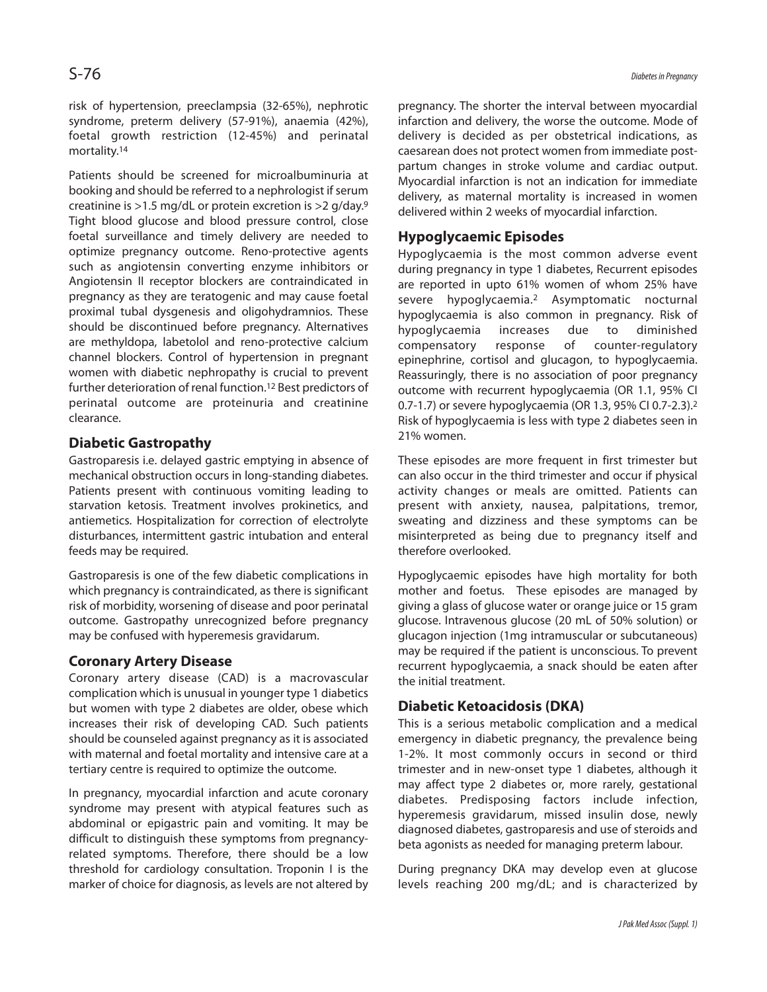risk of hypertension, preeclampsia (32-65%), nephrotic syndrome, preterm delivery (57-91%), anaemia (42%), foetal growth restriction (12-45%) and perinatal mortality. 14

Patients should be screened for microalbuminuria at booking and should be referred to a nephrologist if serum creatinine is >1.5 mg/dL or protein excretion is >2 g/day. 9 Tight blood glucose and blood pressure control, close foetal surveillance and timely delivery are needed to optimize pregnancy outcome. Reno-protective agents such as angiotensin converting enzyme inhibitors or Angiotensin II receptor blockers are contraindicated in pregnancy as they are teratogenic and may cause foetal proximal tubal dysgenesis and oligohydramnios. These should be discontinued before pregnancy. Alternatives are methyldopa, labetolol and reno-protective calcium channel blockers. Control of hypertension in pregnant women with diabetic nephropathy is crucial to prevent further deterioration of renal function. 12 Best predictors of perinatal outcome are proteinuria and creatinine clearance.

## **Diabetic Gastropathy**

Gastroparesis i.e. delayed gastric emptying in absence of mechanical obstruction occurs in long-standing diabetes. Patients present with continuous vomiting leading to starvation ketosis. Treatment involves prokinetics, and antiemetics. Hospitalization for correction of electrolyte disturbances, intermittent gastric intubation and enteral feeds may be required.

Gastroparesis is one of the few diabetic complications in which pregnancy is contraindicated, as there is significant risk of morbidity, worsening of disease and poor perinatal outcome. Gastropathy unrecognized before pregnancy may be confused with hyperemesis gravidarum.

## **Coronary Artery Disease**

Coronary artery disease (CAD) is a macrovascular complication which is unusual in younger type 1 diabetics but women with type 2 diabetes are older, obese which increases their risk of developing CAD. Such patients should be counseled against pregnancy as it is associated with maternal and foetal mortality and intensive care at a tertiary centre is required to optimize the outcome.

In pregnancy, myocardial infarction and acute coronary syndrome may present with atypical features such as abdominal or epigastric pain and vomiting. It may be difficult to distinguish these symptoms from pregnancyrelated symptoms. Therefore, there should be a low threshold for cardiology consultation. Troponin I is the marker of choice for diagnosis, as levels are not altered by pregnancy. The shorter the interval between myocardial infarction and delivery, the worse the outcome. Mode of delivery is decided as per obstetrical indications, as caesarean does not protect women from immediate postpartum changes in stroke volume and cardiac output. Myocardial infarction is not an indication for immediate delivery, as maternal mortality is increased in women delivered within 2 weeks of myocardial infarction.

## **Hypoglycaemic Episodes**

Hypoglycaemia is the most common adverse event during pregnancy in type 1 diabetes, Recurrent episodes are reported in upto 61% women of whom 25% have severe hypoglycaemia. <sup>2</sup> Asymptomatic nocturnal hypoglycaemia is also common in pregnancy. Risk of hypoglycaemia increases due to diminished compensatory response of counter-regulatory epinephrine, cortisol and glucagon, to hypoglycaemia. Reassuringly, there is no association of poor pregnancy outcome with recurrent hypoglycaemia (OR 1.1, 95% CI 0.7-1.7) or severe hypoglycaemia (OR 1.3, 95% CI 0.7-2.3). 2 Risk of hypoglycaemia is less with type 2 diabetes seen in 21% women.

These episodes are more frequent in first trimester but can also occur in the third trimester and occur if physical activity changes or meals are omitted. Patients can present with anxiety, nausea, palpitations, tremor, sweating and dizziness and these symptoms can be misinterpreted as being due to pregnancy itself and therefore overlooked.

Hypoglycaemic episodes have high mortality for both mother and foetus. These episodes are managed by giving a glass of glucose water or orange juice or 15 gram glucose. Intravenous glucose (20 mL of 50% solution) or glucagon injection (1mg intramuscular or subcutaneous) may be required if the patient is unconscious. To prevent recurrent hypoglycaemia, a snack should be eaten after the initial treatment.

## **Diabetic Ketoacidosis (DKA)**

This is a serious metabolic complication and a medical emergency in diabetic pregnancy, the prevalence being 1-2%. It most commonly occurs in second or third trimester and in new-onset type 1 diabetes, although it may affect type 2 diabetes or, more rarely, gestational diabetes. Predisposing factors include infection, hyperemesis gravidarum, missed insulin dose, newly diagnosed diabetes, gastroparesis and use of steroids and beta agonists as needed for managing preterm labour.

During pregnancy DKA may develop even at glucose levels reaching 200 mg/dL; and is characterized by